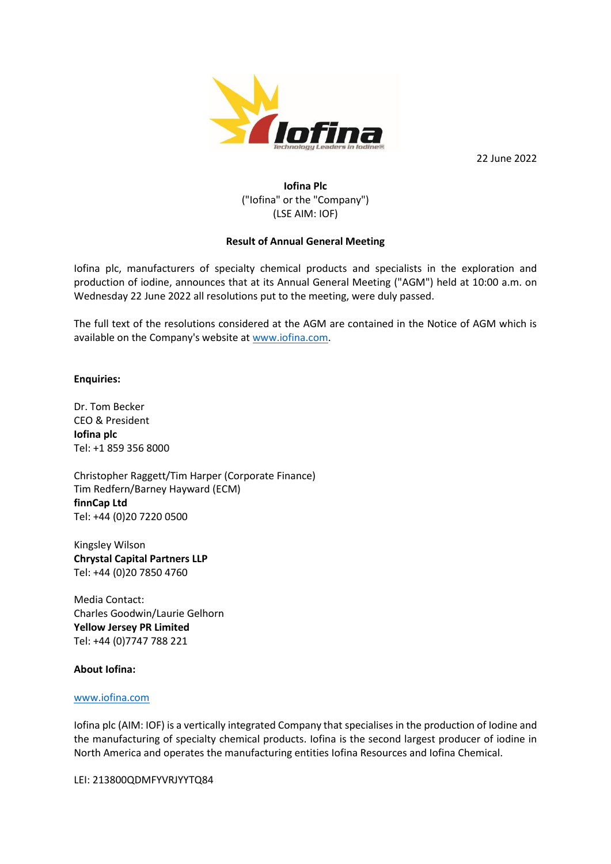

22 June 2022

# **Iofina Plc** ("Iofina" or the "Company") (LSE AIM: IOF)

## **Result of Annual General Meeting**

Iofina plc, manufacturers of specialty chemical products and specialists in the exploration and production of iodine, announces that at its Annual General Meeting ("AGM") held at 10:00 a.m. on Wednesday 22 June 2022 all resolutions put to the meeting, were duly passed.

The full text of the resolutions considered at the AGM are contained in the Notice of AGM which is available on the Company's website at [www.iofina.com.](http://www.iofina.com/)

**Enquiries:**

Dr. Tom Becker CEO & President **Iofina plc** Tel: +1 859 356 8000

Christopher Raggett/Tim Harper (Corporate Finance) Tim Redfern/Barney Hayward (ECM) **finnCap Ltd** Tel: +44 (0)20 7220 0500

Kingsley Wilson **Chrystal Capital Partners LLP** Tel: +44 (0)20 7850 4760

Media Contact: Charles Goodwin/Laurie Gelhorn **Yellow Jersey PR Limited** Tel: +44 (0)7747 788 221

#### **About Iofina:**

#### [www.iofina.com](http://www.iofina.com/)

Iofina plc (AIM: IOF) is a vertically integrated Company that specialises in the production of Iodine and the manufacturing of specialty chemical products. Iofina is the second largest producer of iodine in North America and operates the manufacturing entities Iofina Resources and Iofina Chemical.

LEI: 213800QDMFYVRJYYTQ84